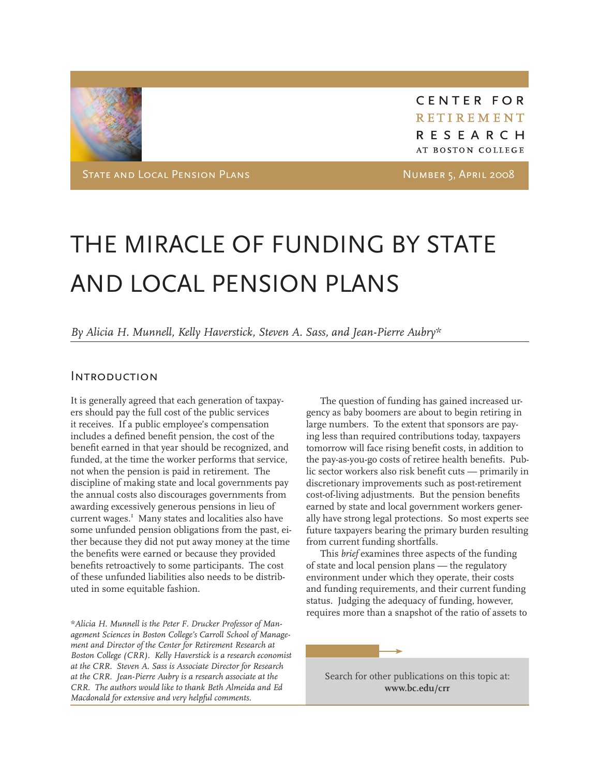

CENTER FOR RETIREMENT RESEARCH AT BOSTON COLLEGE

STATE AND LOCAL PENSION PLANS NUMBER 5, APRIL 2008

# THE MIRACLE OF FUNDING BY STATE AND LOCAL PENSION PLANS

*By Alicia H. Munnell, Kelly Haverstick, Steven A. Sass, and Jean-Pierre Aubry\**

#### **INTRODUCTION**

It is generally agreed that each generation of taxpayers should pay the full cost of the public services it receives. If a public employee's compensation includes a defined benefit pension, the cost of the benefit earned in that year should be recognized, and funded, at the time the worker performs that service, not when the pension is paid in retirement. The discipline of making state and local governments pay the annual costs also discourages governments from awarding excessively generous pensions in lieu of current wages.<sup>1</sup> Many states and localities also have some unfunded pension obligations from the past, either because they did not put away money at the time the benefits were earned or because they provided benefits retroactively to some participants. The cost of these unfunded liabilities also needs to be distributed in some equitable fashion.

*\*Alicia H. Munnell is the Peter F. Drucker Professor of Management Sciences in Boston College's Carroll School of Management and Director of the Center for Retirement Research at Boston College (CRR). Kelly Haverstick is a research economist at the CRR. Steven A. Sass is Associate Director for Research at the CRR. Jean-Pierre Aubry is a research associate at the CRR. The authors would like to thank Beth Almeida and Ed Macdonald for extensive and very helpful comments.* 

The question of funding has gained increased urgency as baby boomers are about to begin retiring in large numbers. To the extent that sponsors are paying less than required contributions today, taxpayers tomorrow will face rising benefit costs, in addition to the pay-as-you-go costs of retiree health benefits. Public sector workers also risk benefit cuts — primarily in discretionary improvements such as post-retirement cost-of-living adjustments. But the pension benefits earned by state and local government workers generally have strong legal protections. So most experts see future taxpayers bearing the primary burden resulting from current funding shortfalls.

This *brief* examines three aspects of the funding of state and local pension plans — the regulatory environment under which they operate, their costs and funding requirements, and their current funding status. Judging the adequacy of funding, however, requires more than a snapshot of the ratio of assets to

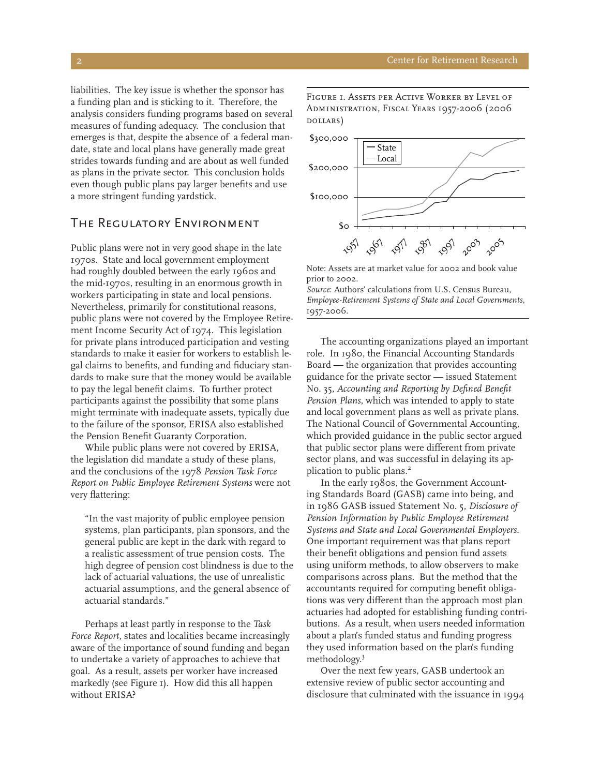liabilities. The key issue is whether the sponsor has a funding plan and is sticking to it. Therefore, the analysis considers funding programs based on several measures of funding adequacy. The conclusion that emerges is that, despite the absence of a federal mandate, state and local plans have generally made great strides towards funding and are about as well funded as plans in the private sector. This conclusion holds even though public plans pay larger benefits and use a more stringent funding yardstick.

## The Regulatory Environment

Public plans were not in very good shape in the late 1970s. State and local government employment had roughly doubled between the early 1960s and the mid-1970s, resulting in an enormous growth in workers participating in state and local pensions. Nevertheless, primarily for constitutional reasons, public plans were not covered by the Employee Retirement Income Security Act of 1974. This legislation for private plans introduced participation and vesting standards to make it easier for workers to establish legal claims to benefits, and funding and fiduciary standards to make sure that the money would be available to pay the legal benefit claims. To further protect participants against the possibility that some plans might terminate with inadequate assets, typically due to the failure of the sponsor, ERISA also established the Pension Benefit Guaranty Corporation.

While public plans were not covered by ERISA, the legislation did mandate a study of these plans, and the conclusions of the 1978 *Pension Task Force Report on Public Employee Retirement Systems* were not very flattering:

"In the vast majority of public employee pension systems, plan participants, plan sponsors, and the general public are kept in the dark with regard to a realistic assessment of true pension costs. The high degree of pension cost blindness is due to the lack of actuarial valuations, the use of unrealistic actuarial assumptions, and the general absence of actuarial standards."

Perhaps at least partly in response to the *Task Force Report*, states and localities became increasingly aware of the importance of sound funding and began to undertake a variety of approaches to achieve that goal. As a result, assets per worker have increased markedly (see Figure 1). How did this all happen without ERISA?

*Figure 1. Assets per Active Worker by Level of Administration, Fiscal Years 1957-2006 (2006 dollars)*



Note: Assets are at market value for 2002 and book value prior to 2002.

*Source*: Authors' calculations from U.S. Census Bureau, *Employee-Retirement Systems of State and Local Governments,*  1957-2006.

The accounting organizations played an important role. In 1980, the Financial Accounting Standards Board — the organization that provides accounting guidance for the private sector — issued Statement No. 35, *Accounting and Reporting by Defined Benefit Pension Plans*, which was intended to apply to state and local government plans as well as private plans. The National Council of Governmental Accounting, which provided guidance in the public sector argued that public sector plans were different from private sector plans, and was successful in delaying its application to public plans.2

In the early 1980s, the Government Accounting Standards Board (GASB) came into being, and in 1986 GASB issued Statement No. 5, *Disclosure of Pension Information by Public Employee Retirement Systems and State and Local Governmental Employers.* One important requirement was that plans report their benefit obligations and pension fund assets using uniform methods, to allow observers to make comparisons across plans. But the method that the accountants required for computing benefit obligations was very different than the approach most plan actuaries had adopted for establishing funding contributions. As a result, when users needed information about a plan's funded status and funding progress they used information based on the plan's funding methodology.3

Over the next few years, GASB undertook an extensive review of public sector accounting and disclosure that culminated with the issuance in 1994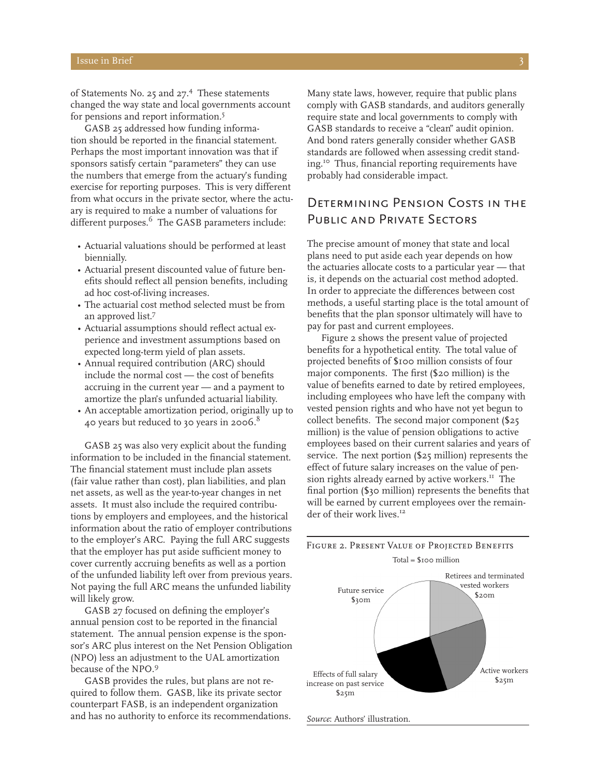of Statements No. 25 and 27.<sup>4</sup> These statements changed the way state and local governments account for pensions and report information.5

GASB 25 addressed how funding information should be reported in the financial statement. Perhaps the most important innovation was that if sponsors satisfy certain "parameters" they can use the numbers that emerge from the actuary's funding exercise for reporting purposes. This is very different from what occurs in the private sector, where the actuary is required to make a number of valuations for different purposes.<sup>6</sup> The GASB parameters include:

- • Actuarial valuations should be performed at least biennially.
- • Actuarial present discounted value of future benefits should reflect all pension benefits, including ad hoc cost-of-living increases.
- The actuarial cost method selected must be from an approved list.<sup>7</sup>
- • Actuarial assumptions should reflect actual experience and investment assumptions based on expected long-term yield of plan assets.
- Annual required contribution (ARC) should include the normal cost — the cost of benefits accruing in the current year — and a payment to amortize the plan's unfunded actuarial liability.
- • An acceptable amortization period, originally up to 40 years but reduced to 30 years in 2006.8

GASB 25 was also very explicit about the funding information to be included in the financial statement. The financial statement must include plan assets (fair value rather than cost), plan liabilities, and plan net assets, as well as the year-to-year changes in net assets. It must also include the required contributions by employers and employees, and the historical information about the ratio of employer contributions to the employer's ARC. Paying the full ARC suggests that the employer has put aside sufficient money to cover currently accruing benefits as well as a portion of the unfunded liability left over from previous years. Not paying the full ARC means the unfunded liability will likely grow.

GASB 27 focused on defining the employer's annual pension cost to be reported in the financial statement. The annual pension expense is the sponsor's ARC plus interest on the Net Pension Obligation (NPO) less an adjustment to the UAL amortization because of the NPO.9

GASB provides the rules, but plans are not required to follow them. GASB, like its private sector counterpart FASB, is an independent organization and has no authority to enforce its recommendations.

Many state laws, however, require that public plans comply with GASB standards, and auditors generally require state and local governments to comply with GASB standards to receive a "clean" audit opinion. And bond raters generally consider whether GASB standards are followed when assessing credit standing.10 Thus, financial reporting requirements have probably had considerable impact.

## Determining Pension Costs in the Public and Private Sectors

The precise amount of money that state and local plans need to put aside each year depends on how the actuaries allocate costs to a particular year — that is, it depends on the actuarial cost method adopted. In order to appreciate the differences between cost methods, a useful starting place is the total amount of benefits that the plan sponsor ultimately will have to pay for past and current employees.

Figure 2 shows the present value of projected benefits for a hypothetical entity. The total value of projected benefits of \$100 million consists of four major components. The first (\$20 million) is the value of benefits earned to date by retired employees, including employees who have left the company with vested pension rights and who have not yet begun to collect benefits. The second major component (\$25 million) is the value of pension obligations to active employees based on their current salaries and years of service. The next portion (\$25 million) represents the effect of future salary increases on the value of pension rights already earned by active workers.<sup>11</sup> The final portion (\$30 million) represents the benefits that will be earned by current employees over the remainder of their work lives.<sup>12</sup>



*Figure 2. Present Value of Projected Benefits*

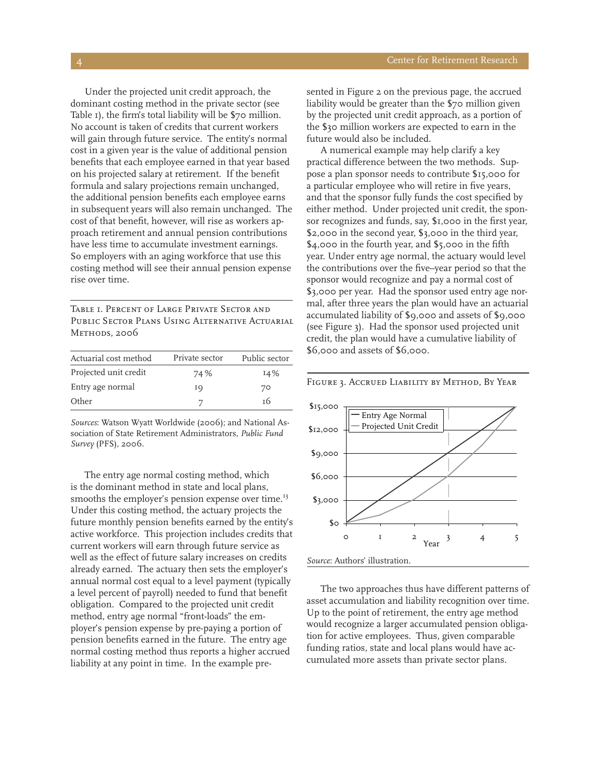Under the projected unit credit approach, the dominant costing method in the private sector (see Table 1), the firm's total liability will be \$70 million. No account is taken of credits that current workers will gain through future service. The entity's normal cost in a given year is the value of additional pension benefits that each employee earned in that year based on his projected salary at retirement. If the benefit formula and salary projections remain unchanged, the additional pension benefits each employee earns in subsequent years will also remain unchanged. The cost of that benefit, however, will rise as workers approach retirement and annual pension contributions have less time to accumulate investment earnings. So employers with an aging workforce that use this costing method will see their annual pension expense rise over time.

*Table 1. Percent of Large Private Sector and Public Sector Plans Using Alternative Actuarial Methods, 2006*

| Private sector | Public sector |
|----------------|---------------|
| 74 %           | 14%           |
| ΙQ             | 70            |
|                | т6            |
|                |               |

*Sources*: Watson Wyatt Worldwide (2006); and National Association of State Retirement Administrators, *Public Fund Survey* (PFS), 2006.

The entry age normal costing method, which is the dominant method in state and local plans, smooths the employer's pension expense over time.<sup>13</sup> Under this costing method, the actuary projects the future monthly pension benefits earned by the entity's active workforce. This projection includes credits that current workers will earn through future service as well as the effect of future salary increases on credits already earned. The actuary then sets the employer's annual normal cost equal to a level payment (typically a level percent of payroll) needed to fund that benefit obligation. Compared to the projected unit credit method, entry age normal "front-loads" the employer's pension expense by pre-paying a portion of pension benefits earned in the future. The entry age normal costing method thus reports a higher accrued liability at any point in time. In the example presented in Figure 2 on the previous page, the accrued liability would be greater than the \$70 million given by the projected unit credit approach, as a portion of the \$30 million workers are expected to earn in the future would also be included.

A numerical example may help clarify a key practical difference between the two methods. Suppose a plan sponsor needs to contribute \$15,000 for a particular employee who will retire in five years, and that the sponsor fully funds the cost specified by either method. Under projected unit credit, the sponsor recognizes and funds, say, \$1,000 in the first year, \$2,000 in the second year, \$3,000 in the third year, \$4,000 in the fourth year, and \$5,000 in the fifth year. Under entry age normal, the actuary would level the contributions over the five–year period so that the sponsor would recognize and pay a normal cost of \$3,000 per year. Had the sponsor used entry age normal, after three years the plan would have an actuarial accumulated liability of \$9,000 and assets of \$9,000 (see Figure 3). Had the sponsor used projected unit credit, the plan would have a cumulative liability of \$6,000 and assets of \$6,000.



The two approaches thus have different patterns of asset accumulation and liability recognition over time. Up to the point of retirement, the entry age method would recognize a larger accumulated pension obligation for active employees. Thus, given comparable funding ratios, state and local plans would have accumulated more assets than private sector plans.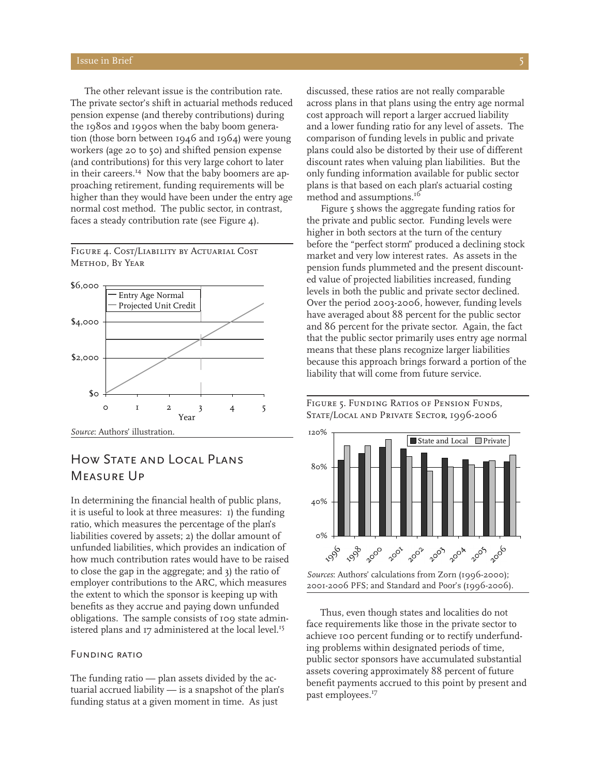The other relevant issue is the contribution rate. The private sector's shift in actuarial methods reduced pension expense (and thereby contributions) during the 1980s and 1990s when the baby boom generation (those born between 1946 and 1964) were young workers (age 20 to 50) and shifted pension expense (and contributions) for this very large cohort to later in their careers.<sup>14</sup> Now that the baby boomers are approaching retirement, funding requirements will be higher than they would have been under the entry age normal cost method. The public sector, in contrast, faces a steady contribution rate (see Figure 4).

*Figure 4. Cost/Liability by Actuarial Cost Method, By Year*



## How State and Local Plans Measure Up

In determining the financial health of public plans, it is useful to look at three measures: 1) the funding ratio, which measures the percentage of the plan's liabilities covered by assets; 2) the dollar amount of unfunded liabilities, which provides an indication of how much contribution rates would have to be raised to close the gap in the aggregate; and 3) the ratio of employer contributions to the ARC, which measures the extent to which the sponsor is keeping up with benefits as they accrue and paying down unfunded obligations. The sample consists of 109 state administered plans and 17 administered at the local level.<sup>15</sup>

#### Funding ratio

The funding ratio — plan assets divided by the actuarial accrued liability — is a snapshot of the plan's funding status at a given moment in time. As just

discussed, these ratios are not really comparable across plans in that plans using the entry age normal cost approach will report a larger accrued liability and a lower funding ratio for any level of assets. The comparison of funding levels in public and private plans could also be distorted by their use of different discount rates when valuing plan liabilities. But the only funding information available for public sector plans is that based on each plan's actuarial costing method and assumptions.<sup>16</sup>

Figure 5 shows the aggregate funding ratios for the private and public sector. Funding levels were higher in both sectors at the turn of the century before the "perfect storm" produced a declining stock market and very low interest rates. As assets in the pension funds plummeted and the present discounted value of projected liabilities increased, funding levels in both the public and private sector declined. Over the period 2003-2006, however, funding levels have averaged about 88 percent for the public sector and 86 percent for the private sector. Again, the fact that the public sector primarily uses entry age normal means that these plans recognize larger liabilities because this approach brings forward a portion of the liability that will come from future service.

#### *Figure 5. Funding Ratios of Pension Funds, State/Local and Private Sector, 1996-2006*



Thus, even though states and localities do not face requirements like those in the private sector to achieve 100 percent funding or to rectify underfunding problems within designated periods of time, public sector sponsors have accumulated substantial assets covering approximately 88 percent of future benefit payments accrued to this point by present and past employees.<sup>17</sup>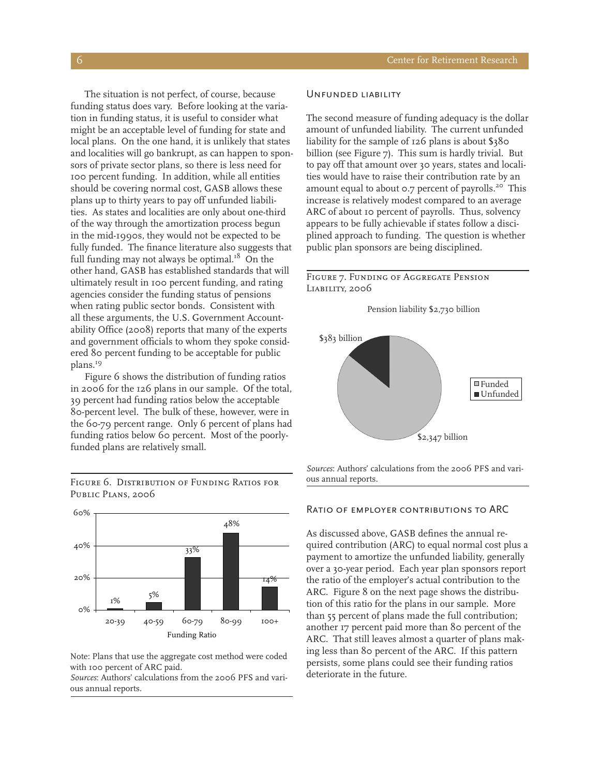The situation is not perfect, of course, because funding status does vary. Before looking at the variation in funding status, it is useful to consider what might be an acceptable level of funding for state and local plans. On the one hand, it is unlikely that states and localities will go bankrupt, as can happen to sponsors of private sector plans, so there is less need for 100 percent funding. In addition, while all entities should be covering normal cost, GASB allows these plans up to thirty years to pay off unfunded liabilities. As states and localities are only about one-third of the way through the amortization process begun in the mid-1990s, they would not be expected to be fully funded. The finance literature also suggests that full funding may not always be optimal.<sup>18</sup> On the other hand, GASB has established standards that will ultimately result in 100 percent funding, and rating agencies consider the funding status of pensions when rating public sector bonds. Consistent with all these arguments, the U.S. Government Accountability Office (2008) reports that many of the experts and government officials to whom they spoke considered 80 percent funding to be acceptable for public plans.<sup>19</sup>

Figure 6 shows the distribution of funding ratios in 2006 for the 126 plans in our sample. Of the total, 39 percent had funding ratios below the acceptable 80-percent level. The bulk of these, however, were in the 60-79 percent range. Only 6 percent of plans had funding ratios below 60 percent. Most of the poorlyfunded plans are relatively small.

 $1\%$  5% 33% 14% 48% 0% 20% 40% 60% 20-39 40-59 60-79 80-99 100+ Funding Ratio

*Figure 6. Distribution of Funding Ratios for Public Plans, 2006*

#### Note: Plans that use the aggregate cost method were coded with 100 percent of ARC paid.

*Sources*: Authors' calculations from the 2006 PFS and various annual reports.

#### UNFUNDED LIABILITY

The second measure of funding adequacy is the dollar amount of unfunded liability. The current unfunded liability for the sample of 126 plans is about \$380 billion (see Figure 7). This sum is hardly trivial. But to pay off that amount over 30 years, states and localities would have to raise their contribution rate by an amount equal to about 0.7 percent of payrolls.<sup>20</sup> This increase is relatively modest compared to an average ARC of about 10 percent of payrolls. Thus, solvency appears to be fully achievable if states follow a disciplined approach to funding. The question is whether public plan sponsors are being disciplined.

#### *Figure 7. Funding of Aggregate Pension Liability, 2006*





*Sources*: Authors' calculations from the 2006 PFS and various annual reports.

#### Ratio of employer contributions to ARC

As discussed above, GASB defines the annual required contribution (ARC) to equal normal cost plus a payment to amortize the unfunded liability, generally over a 30-year period. Each year plan sponsors report the ratio of the employer's actual contribution to the ARC. Figure 8 on the next page shows the distribution of this ratio for the plans in our sample. More than 55 percent of plans made the full contribution; another 17 percent paid more than 80 percent of the ARC. That still leaves almost a quarter of plans making less than 80 percent of the ARC. If this pattern persists, some plans could see their funding ratios deteriorate in the future.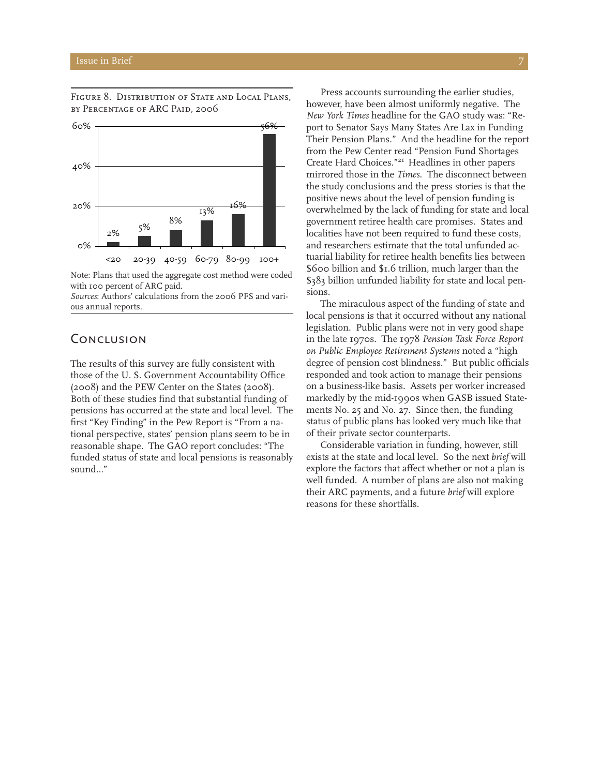

*Figure 8. Distribution of State and Local Plans, by Percentage of ARC Paid, 2006*

Note: Plans that used the aggregate cost method were coded with 100 percent of ARC paid.

*Sources*: Authors' calculations from the 2006 PFS and various annual reports.

## **CONCLUSION**

The results of this survey are fully consistent with those of the U. S. Government Accountability Office (2008) and the PEW Center on the States (2008). Both of these studies find that substantial funding of pensions has occurred at the state and local level. The first "Key Finding" in the Pew Report is "From a national perspective, states' pension plans seem to be in reasonable shape. The GAO report concludes: "The funded status of state and local pensions is reasonably sound…"

Press accounts surrounding the earlier studies, however, have been almost uniformly negative. The *New York Times* headline for the GAO study was: "Report to Senator Says Many States Are Lax in Funding Their Pension Plans." And the headline for the report from the Pew Center read "Pension Fund Shortages Create Hard Choices."21 Headlines in other papers mirrored those in the *Times*. The disconnect between the study conclusions and the press stories is that the positive news about the level of pension funding is overwhelmed by the lack of funding for state and local government retiree health care promises. States and localities have not been required to fund these costs, and researchers estimate that the total unfunded actuarial liability for retiree health benefits lies between \$600 billion and \$1.6 trillion, much larger than the \$383 billion unfunded liability for state and local pensions.

The miraculous aspect of the funding of state and local pensions is that it occurred without any national legislation. Public plans were not in very good shape in the late 1970s. The 1978 *Pension Task Force Report on Public Employee Retirement Systems* noted a "high degree of pension cost blindness." But public officials responded and took action to manage their pensions on a business-like basis. Assets per worker increased markedly by the mid-1990s when GASB issued Statements No. 25 and No. 27. Since then, the funding status of public plans has looked very much like that of their private sector counterparts.

Considerable variation in funding, however, still exists at the state and local level. So the next *brief* will explore the factors that affect whether or not a plan is well funded. A number of plans are also not making their ARC payments, and a future *brief* will explore reasons for these shortfalls.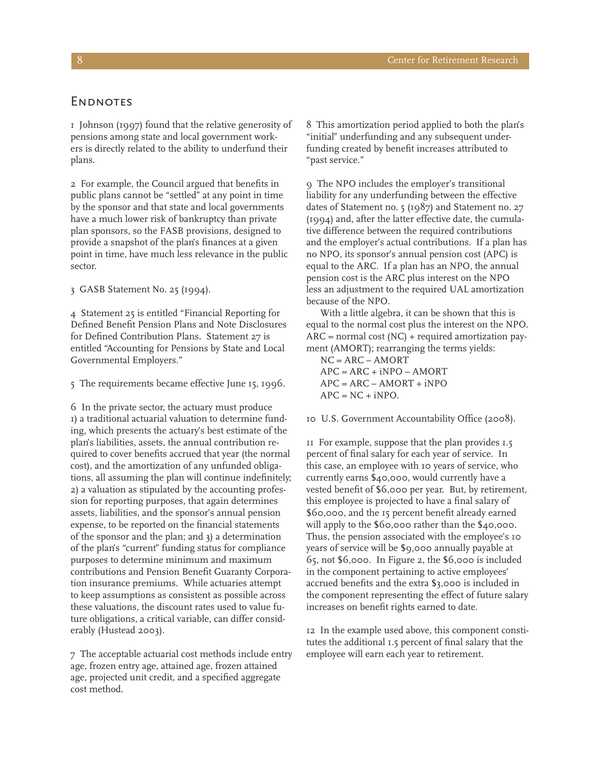#### **ENDNOTES**

1 Johnson (1997) found that the relative generosity of pensions among state and local government workers is directly related to the ability to underfund their plans.

2 For example, the Council argued that benefits in public plans cannot be "settled" at any point in time by the sponsor and that state and local governments have a much lower risk of bankruptcy than private plan sponsors, so the FASB provisions, designed to provide a snapshot of the plan's finances at a given point in time, have much less relevance in the public sector.

3 GASB Statement No. 25 (1994).

4 Statement 25 is entitled "Financial Reporting for Defined Benefit Pension Plans and Note Disclosures for Defined Contribution Plans. Statement 27 is entitled "Accounting for Pensions by State and Local Governmental Employers."

5 The requirements became effective June 15, 1996.

6 In the private sector, the actuary must produce 1) a traditional actuarial valuation to determine funding, which presents the actuary's best estimate of the plan's liabilities, assets, the annual contribution required to cover benefits accrued that year (the normal cost), and the amortization of any unfunded obligations, all assuming the plan will continue indefinitely; 2) a valuation as stipulated by the accounting profession for reporting purposes, that again determines assets, liabilities, and the sponsor's annual pension expense, to be reported on the financial statements of the sponsor and the plan; and 3) a determination of the plan's "current" funding status for compliance purposes to determine minimum and maximum contributions and Pension Benefit Guaranty Corporation insurance premiums. While actuaries attempt to keep assumptions as consistent as possible across these valuations, the discount rates used to value future obligations, a critical variable, can differ considerably (Hustead 2003).

7 The acceptable actuarial cost methods include entry age, frozen entry age, attained age, frozen attained age, projected unit credit, and a specified aggregate cost method.

8 This amortization period applied to both the plan's "initial" underfunding and any subsequent underfunding created by benefit increases attributed to "past service."

9 The NPO includes the employer's transitional liability for any underfunding between the effective dates of Statement no. 5 (1987) and Statement no. 27 (1994) and, after the latter effective date, the cumulative difference between the required contributions and the employer's actual contributions. If a plan has no NPO, its sponsor's annual pension cost (APC) is equal to the ARC. If a plan has an NPO, the annual pension cost is the ARC plus interest on the NPO less an adjustment to the required UAL amortization because of the NPO.

With a little algebra, it can be shown that this is equal to the normal cost plus the interest on the NPO.  $ARC = normal cost (NC) + required annotation pay$ ment (AMORT); rearranging the terms yields:

NC = ARC – AMORT  $APC = ARC + iNPO - AMORT$  $APC = ARC - AMORT + iNPO$  $APC = NC + iNPO.$ 

10 U.S. Government Accountability Office (2008).

11 For example, suppose that the plan provides 1.5 percent of final salary for each year of service. In this case, an employee with 10 years of service, who currently earns \$40,000, would currently have a vested benefit of \$6,000 per year. But, by retirement, this employee is projected to have a final salary of \$60,000, and the 15 percent benefit already earned will apply to the \$60,000 rather than the \$40,000. Thus, the pension associated with the employee's 10 years of service will be \$9,000 annually payable at 65, not \$6,000. In Figure 2, the \$6,000 is included in the component pertaining to active employees' accrued benefits and the extra \$3,000 is included in the component representing the effect of future salary increases on benefit rights earned to date.

12 In the example used above, this component constitutes the additional 1.5 percent of final salary that the employee will earn each year to retirement.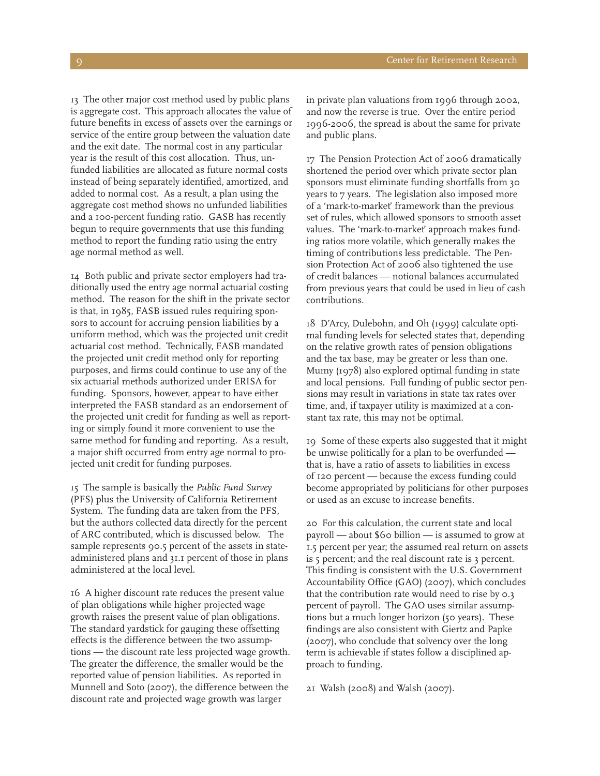13 The other major cost method used by public plans is aggregate cost. This approach allocates the value of future benefits in excess of assets over the earnings or service of the entire group between the valuation date and the exit date. The normal cost in any particular year is the result of this cost allocation. Thus, unfunded liabilities are allocated as future normal costs instead of being separately identified, amortized, and added to normal cost. As a result, a plan using the aggregate cost method shows no unfunded liabilities and a 100-percent funding ratio. GASB has recently begun to require governments that use this funding method to report the funding ratio using the entry age normal method as well.

14 Both public and private sector employers had traditionally used the entry age normal actuarial costing method. The reason for the shift in the private sector is that, in 1985, FASB issued rules requiring sponsors to account for accruing pension liabilities by a uniform method, which was the projected unit credit actuarial cost method. Technically, FASB mandated the projected unit credit method only for reporting purposes, and firms could continue to use any of the six actuarial methods authorized under ERISA for funding. Sponsors, however, appear to have either interpreted the FASB standard as an endorsement of the projected unit credit for funding as well as reporting or simply found it more convenient to use the same method for funding and reporting. As a result, a major shift occurred from entry age normal to projected unit credit for funding purposes.

15 The sample is basically the *Public Fund Survey* (PFS) plus the University of California Retirement System. The funding data are taken from the PFS, but the authors collected data directly for the percent of ARC contributed, which is discussed below. The sample represents 90.5 percent of the assets in stateadministered plans and 31.1 percent of those in plans administered at the local level.

16 A higher discount rate reduces the present value of plan obligations while higher projected wage growth raises the present value of plan obligations. The standard yardstick for gauging these offsetting effects is the difference between the two assumptions — the discount rate less projected wage growth. The greater the difference, the smaller would be the reported value of pension liabilities. As reported in Munnell and Soto (2007), the difference between the discount rate and projected wage growth was larger

in private plan valuations from 1996 through 2002, and now the reverse is true. Over the entire period 1996-2006, the spread is about the same for private and public plans.

17 The Pension Protection Act of 2006 dramatically shortened the period over which private sector plan sponsors must eliminate funding shortfalls from 30 years to 7 years. The legislation also imposed more of a 'mark-to-market' framework than the previous set of rules, which allowed sponsors to smooth asset values. The 'mark-to-market' approach makes funding ratios more volatile, which generally makes the timing of contributions less predictable. The Pension Protection Act of 2006 also tightened the use of credit balances — notional balances accumulated from previous years that could be used in lieu of cash contributions.

18 D'Arcy, Dulebohn, and Oh (1999) calculate optimal funding levels for selected states that, depending on the relative growth rates of pension obligations and the tax base, may be greater or less than one. Mumy (1978) also explored optimal funding in state and local pensions. Full funding of public sector pensions may result in variations in state tax rates over time, and, if taxpayer utility is maximized at a constant tax rate, this may not be optimal.

19 Some of these experts also suggested that it might be unwise politically for a plan to be overfunded that is, have a ratio of assets to liabilities in excess of 120 percent — because the excess funding could become appropriated by politicians for other purposes or used as an excuse to increase benefits.

20 For this calculation, the current state and local payroll — about \$60 billion — is assumed to grow at 1.5 percent per year; the assumed real return on assets is 5 percent; and the real discount rate is 3 percent. This finding is consistent with the U.S. Government Accountability Office (GAO) (2007), which concludes that the contribution rate would need to rise by 0.3 percent of payroll. The GAO uses similar assumptions but a much longer horizon (50 years). These findings are also consistent with Giertz and Papke (2007), who conclude that solvency over the long term is achievable if states follow a disciplined approach to funding.

21 Walsh (2008) and Walsh (2007).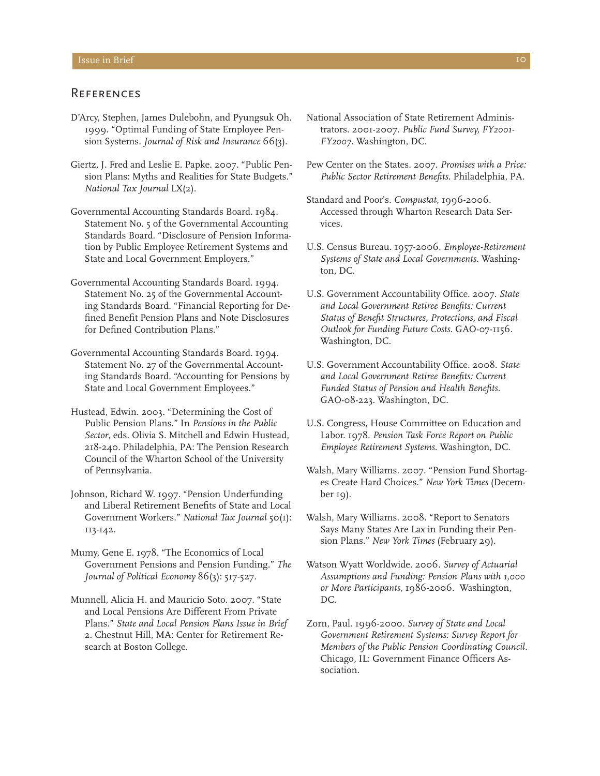### **REFERENCES**

- D'Arcy, Stephen, James Dulebohn, and Pyungsuk Oh. 1999. "Optimal Funding of State Employee Pension Systems. *Journal of Risk and Insurance* 66(3).
- Giertz, J. Fred and Leslie E. Papke. 2007. "Public Pension Plans: Myths and Realities for State Budgets." *National Tax Journal* LX(2).
- Governmental Accounting Standards Board. 1984. Statement No. 5 of the Governmental Accounting Standards Board. "Disclosure of Pension Information by Public Employee Retirement Systems and State and Local Government Employers."
- Governmental Accounting Standards Board. 1994. Statement No. 25 of the Governmental Accounting Standards Board. "Financial Reporting for Defined Benefit Pension Plans and Note Disclosures for Defined Contribution Plans."
- Governmental Accounting Standards Board. 1994. Statement No. 27 of the Governmental Accounting Standards Board. "Accounting for Pensions by State and Local Government Employees."
- Hustead, Edwin. 2003. "Determining the Cost of Public Pension Plans." In *Pensions in the Public Sector*, eds. Olivia S. Mitchell and Edwin Hustead, 218-240. Philadelphia, PA: The Pension Research Council of the Wharton School of the University of Pennsylvania.
- Johnson, Richard W. 1997. "Pension Underfunding and Liberal Retirement Benefits of State and Local Government Workers." *National Tax Journal* 50(1): 113-142.
- Mumy, Gene E. 1978. "The Economics of Local Government Pensions and Pension Funding." *The Journal of Political Economy* 86(3): 517-527.
- Munnell, Alicia H. and Mauricio Soto. 2007. "State and Local Pensions Are Different From Private Plans." *State and Local Pension Plans Issue in Brief*  2. Chestnut Hill, MA: Center for Retirement Research at Boston College.
- National Association of State Retirement Administrators. 2001-2007. *Public Fund Survey, FY2001- FY2007.* Washington, DC.
- Pew Center on the States. 2007. *Promises with a Price: Public Sector Retirement Benefits*. Philadelphia, PA.
- Standard and Poor's. *Compustat*, 1996-2006. Accessed through Wharton Research Data Services.
- U.S. Census Bureau. 1957-2006. *Employee-Retirement Systems of State and Local Governments*. Washington, DC.
- U.S. Government Accountability Office. 2007. *State and Local Government Retiree Benefits: Current Status of Benefit Structures, Protections, and Fiscal Outlook for Funding Future Costs.* GAO-07-1156. Washington, DC.
- U.S. Government Accountability Office. 2008. *State and Local Government Retiree Benefits: Current Funded Status of Pension and Health Benefits.*  GAO-08-223. Washington, DC.
- U.S. Congress, House Committee on Education and Labor. 1978. *Pension Task Force Report on Public Employee Retirement Systems*. Washington, DC.
- Walsh, Mary Williams. 2007. "Pension Fund Shortages Create Hard Choices." *New York Times* (December 19).
- Walsh, Mary Williams. 2008. "Report to Senators Says Many States Are Lax in Funding their Pension Plans." *New York Times* (February 29).
- Watson Wyatt Worldwide. 2006. *Survey of Actuarial Assumptions and Funding: Pension Plans with 1,000 or More Participants*, 1986-2006. Washington, DC.
- Zorn, Paul. 1996-2000. *Survey of State and Local Government Retirement Systems: Survey Report for Members of the Public Pension Coordinating Council*. Chicago, IL: Government Finance Officers Association.